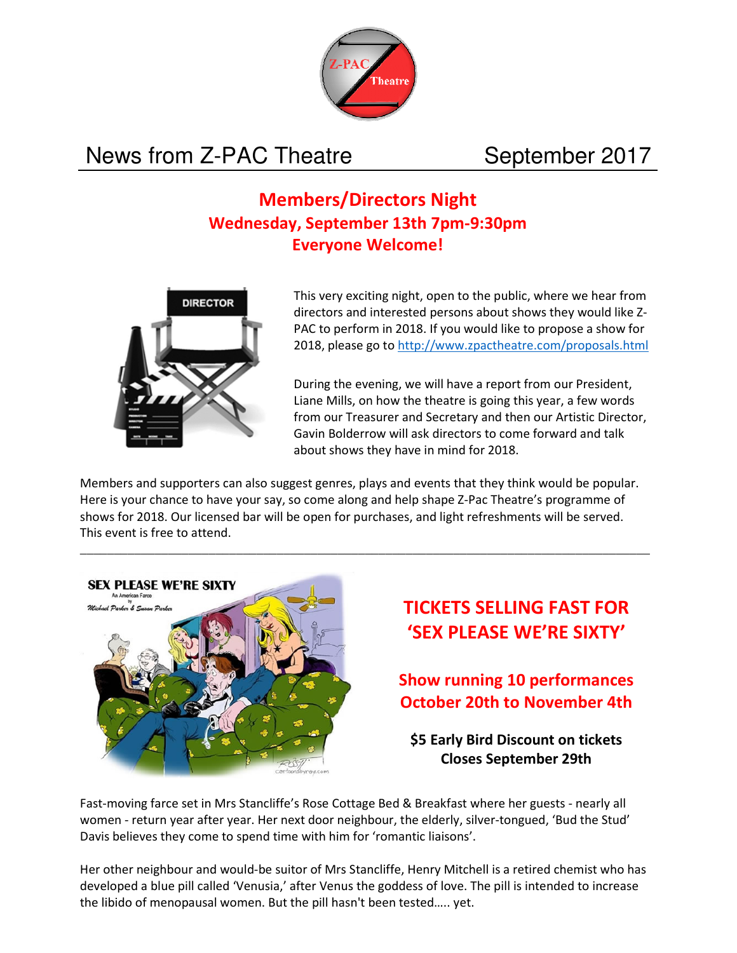

# News from Z-PAC Theatre September 2017

## **Members/Directors Night Wednesday, September 13th 7pm-9:30pm Everyone Welcome!**



This very exciting night, open to the public, where we hear from directors and interested persons about shows they would like Z-PAC to perform in 2018. If you would like to propose a show for 2018, please go to http://www.zpactheatre.com/proposals.html

During the evening, we will have a report from our President, Liane Mills, on how the theatre is going this year, a few words from our Treasurer and Secretary and then our Artistic Director, Gavin Bolderrow will ask directors to come forward and talk about shows they have in mind for 2018.

Members and supporters can also suggest genres, plays and events that they think would be popular. Here is your chance to have your say, so come along and help shape Z-Pac Theatre's programme of shows for 2018. Our licensed bar will be open for purchases, and light refreshments will be served. This event is free to attend.



# **TICKETS SELLING FAST FOR 'SEX PLEASE WE'RE SIXTY'**

**Show running 10 performances October 20th to November 4th** 

**\$5 Early Bird Discount on tickets Closes September 29th** 

Fast-moving farce set in Mrs Stancliffe's Rose Cottage Bed & Breakfast where her guests - nearly all women - return year after year. Her next door neighbour, the elderly, silver-tongued, 'Bud the Stud' Davis believes they come to spend time with him for 'romantic liaisons'.

Her other neighbour and would-be suitor of Mrs Stancliffe, Henry Mitchell is a retired chemist who has developed a blue pill called 'Venusia,' after Venus the goddess of love. The pill is intended to increase the libido of menopausal women. But the pill hasn't been tested….. yet.